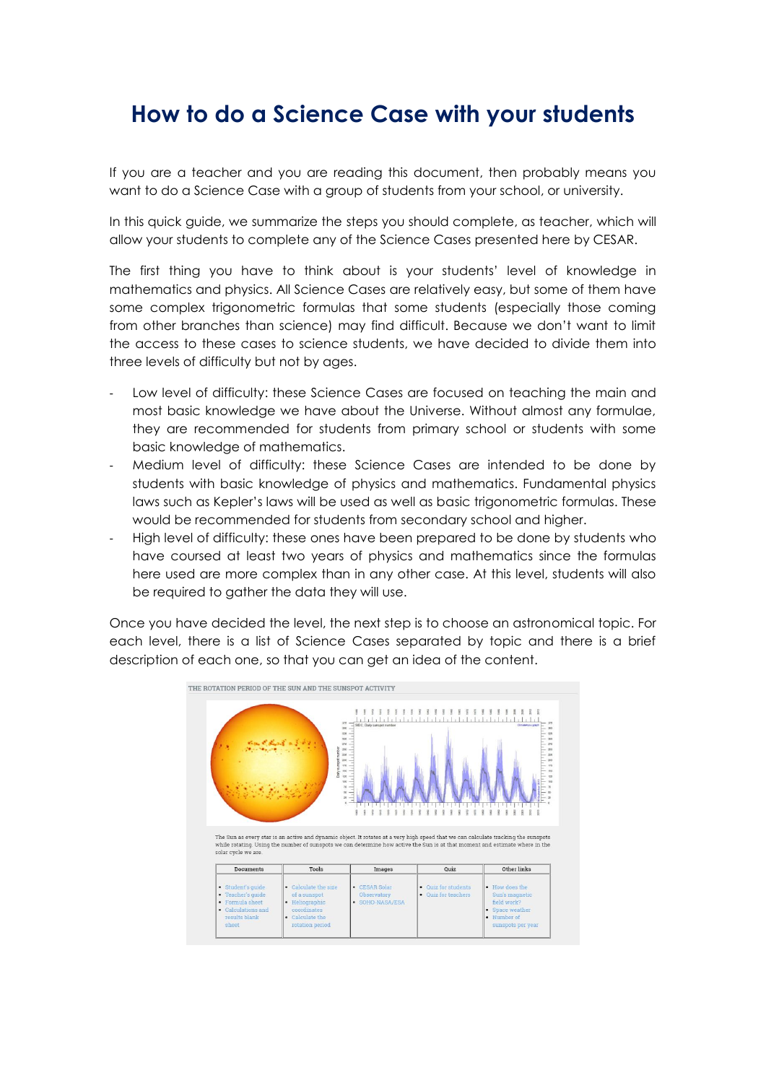## **How to do a Science Case with your students**

If you are a teacher and you are reading this document, then probably means you want to do a Science Case with a group of students from your school, or university.

In this quick guide, we summarize the steps you should complete, as teacher, which will allow your students to complete any of the Science Cases presented here by CESAR.

The first thing you have to think about is your students' level of knowledge in mathematics and physics. All Science Cases are relatively easy, but some of them have some complex trigonometric formulas that some students (especially those coming from other branches than science) may find difficult. Because we don't want to limit the access to these cases to science students, we have decided to divide them into three levels of difficulty but not by ages.

- Low level of difficulty: these Science Cases are focused on teaching the main and most basic knowledge we have about the Universe. Without almost any formulae, they are recommended for students from primary school or students with some basic knowledge of mathematics.
- Medium level of difficulty: these Science Cases are intended to be done by students with basic knowledge of physics and mathematics. Fundamental physics laws such as Kepler's laws will be used as well as basic trigonometric formulas. These would be recommended for students from secondary school and higher.
- High level of difficulty: these ones have been prepared to be done by students who have coursed at least two years of physics and mathematics since the formulas here used are more complex than in any other case. At this level, students will also be required to gather the data they will use.

Once you have decided the level, the next step is to choose an astronomical topic. For each level, there is a list of Science Cases separated by topic and there is a brief description of each one, so that you can get an idea of the content.

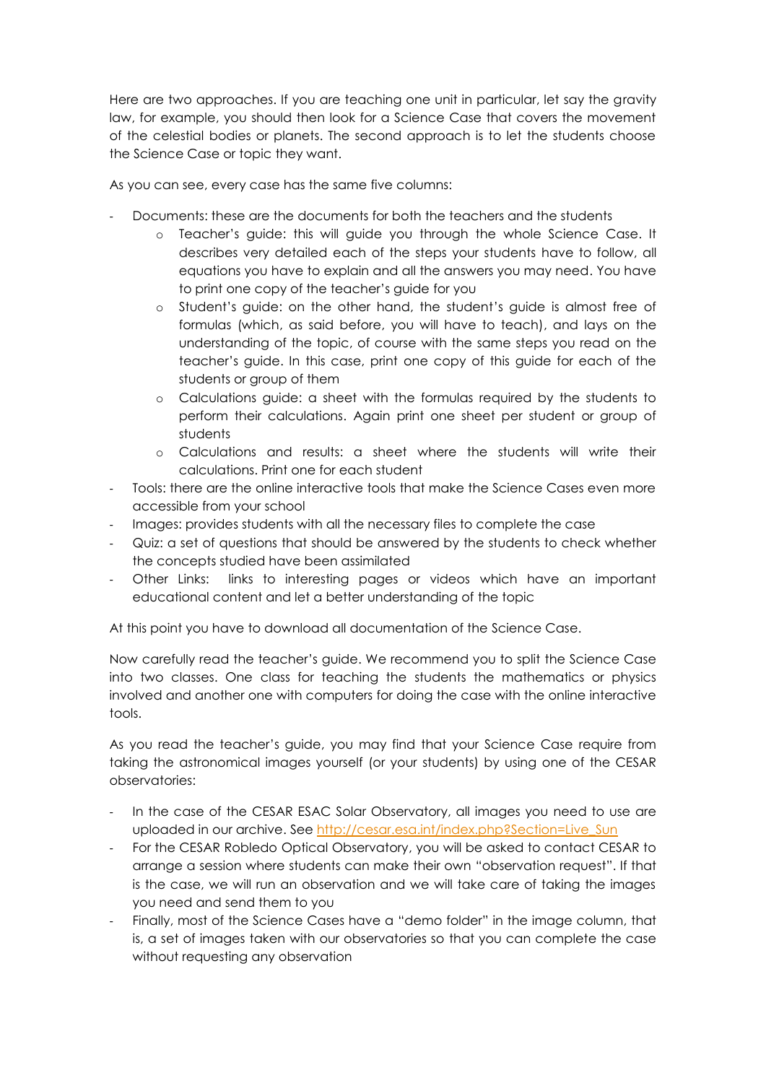Here are two approaches. If you are teaching one unit in particular, let say the gravity law, for example, you should then look for a Science Case that covers the movement of the celestial bodies or planets. The second approach is to let the students choose the Science Case or topic they want.

As you can see, every case has the same five columns:

- Documents: these are the documents for both the teachers and the students
	- o Teacher's guide: this will guide you through the whole Science Case. It describes very detailed each of the steps your students have to follow, all equations you have to explain and all the answers you may need. You have to print one copy of the teacher's guide for you
	- o Student's guide: on the other hand, the student's guide is almost free of formulas (which, as said before, you will have to teach), and lays on the understanding of the topic, of course with the same steps you read on the teacher's guide. In this case, print one copy of this guide for each of the students or group of them
	- o Calculations guide: a sheet with the formulas required by the students to perform their calculations. Again print one sheet per student or group of students
	- o Calculations and results: a sheet where the students will write their calculations. Print one for each student
- Tools: there are the online interactive tools that make the Science Cases even more accessible from your school
- Images: provides students with all the necessary files to complete the case
- Quiz: a set of questions that should be answered by the students to check whether the concepts studied have been assimilated
- Other Links: links to interesting pages or videos which have an important educational content and let a better understanding of the topic

At this point you have to download all documentation of the Science Case.

Now carefully read the teacher's guide. We recommend you to split the Science Case into two classes. One class for teaching the students the mathematics or physics involved and another one with computers for doing the case with the online interactive tools.

As you read the teacher's guide, you may find that your Science Case require from taking the astronomical images yourself (or your students) by using one of the CESAR observatories:

- In the case of the CESAR ESAC Solar Observatory, all images you need to use are uploaded in our archive. See [http://cesar.esa.int/index.php?Section=Live\\_Sun](http://cesar.esa.int/index.php?Section=Live_Sun)
- For the CESAR Robledo Optical Observatory, you will be asked to contact CESAR to arrange a session where students can make their own "observation request". If that is the case, we will run an observation and we will take care of taking the images you need and send them to you
- Finally, most of the Science Cases have a "demo folder" in the image column, that is, a set of images taken with our observatories so that you can complete the case without requesting any observation